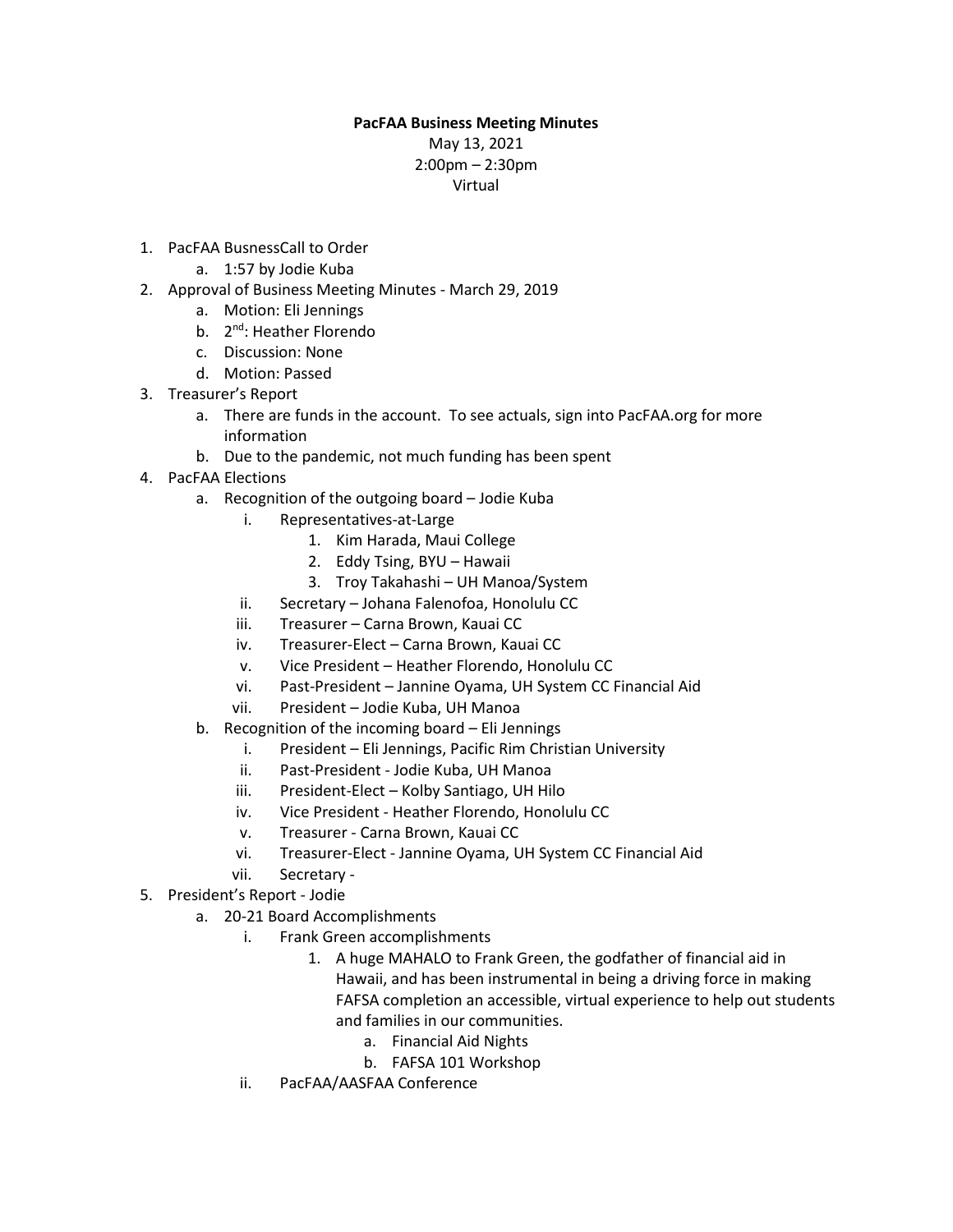## **PacFAA Business Meeting Minutes**

May 13, 2021 2:00pm – 2:30pm Virtual

- 1. PacFAA BusnessCall to Order
	- a. 1:57 by Jodie Kuba
- 2. Approval of Business Meeting Minutes March 29, 2019
	- a. Motion: Eli Jennings
	- b. 2<sup>nd</sup>: Heather Florendo
	- c. Discussion: None
	- d. Motion: Passed
- 3. Treasurer's Report
	- a. There are funds in the account. To see actuals, sign into PacFAA.org for more information
	- b. Due to the pandemic, not much funding has been spent
- 4. PacFAA Elections
	- a. Recognition of the outgoing board Jodie Kuba
		- i. Representatives-at-Large
			- 1. Kim Harada, Maui College
			- 2. Eddy Tsing, BYU Hawaii
			- 3. Troy Takahashi UH Manoa/System
		- ii. Secretary Johana Falenofoa, Honolulu CC
		- iii. Treasurer Carna Brown, Kauai CC
		- iv. Treasurer-Elect Carna Brown, Kauai CC
		- v. Vice President Heather Florendo, Honolulu CC
		- vi. Past-President Jannine Oyama, UH System CC Financial Aid
		- vii. President Jodie Kuba, UH Manoa
	- b. Recognition of the incoming board Eli Jennings
		- i. President Eli Jennings, Pacific Rim Christian University
		- ii. Past-President Jodie Kuba, UH Manoa
		- iii. President-Elect Kolby Santiago, UH Hilo
		- iv. Vice President Heather Florendo, Honolulu CC
		- v. Treasurer Carna Brown, Kauai CC
		- vi. Treasurer-Elect Jannine Oyama, UH System CC Financial Aid
		- vii. Secretary -
- 5. President's Report Jodie
	- a. 20-21 Board Accomplishments
		- i. Frank Green accomplishments
			- 1. A huge MAHALO to Frank Green, the godfather of financial aid in Hawaii, and has been instrumental in being a driving force in making FAFSA completion an accessible, virtual experience to help out students and families in our communities.
				- a. Financial Aid Nights
				- b. FAFSA 101 Workshop
		- ii. PacFAA/AASFAA Conference